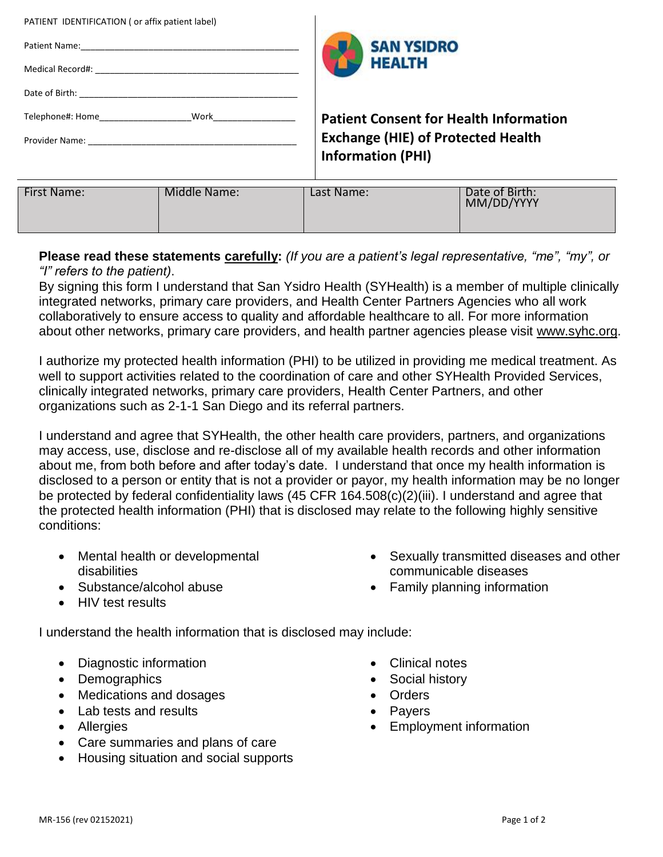| Patient Name:<br>Medical Record#: Website and the control of the control of the control of the control of the control of the control of the control of the control of the control of the control of the control of the control of the control o |              | <b>SAN YSIDRO</b><br><b>HEALTH</b>                                    |                |
|-------------------------------------------------------------------------------------------------------------------------------------------------------------------------------------------------------------------------------------------------|--------------|-----------------------------------------------------------------------|----------------|
|                                                                                                                                                                                                                                                 |              |                                                                       |                |
| Telephone#: Home Work Work                                                                                                                                                                                                                      |              | <b>Patient Consent for Health Information</b>                         |                |
| Provider Name: The contract of the contract of the contract of the contract of the contract of the contract of                                                                                                                                  |              | <b>Exchange (HIE) of Protected Health</b><br><b>Information (PHI)</b> |                |
| <b>First Name:</b>                                                                                                                                                                                                                              | Middle Name: | Last Name:                                                            | Date of Birth: |
|                                                                                                                                                                                                                                                 |              |                                                                       | MM/DD/YYYY     |

## **Please read these statements carefully:** *(If you are a patient's legal representative, "me", "my", or "I" refers to the patient)*.

By signing this form I understand that San Ysidro Health (SYHealth) is a member of multiple clinically integrated networks, primary care providers, and Health Center Partners Agencies who all work collaboratively to ensure access to quality and affordable healthcare to all. For more information about other networks, primary care providers, and health partner agencies please visit [www.syhc.org.](http://www.syhc.org/)

I authorize my protected health information (PHI) to be utilized in providing me medical treatment. As well to support activities related to the coordination of care and other SYHealth Provided Services, clinically integrated networks, primary care providers, Health Center Partners, and other organizations such as 2-1-1 San Diego and its referral partners.

I understand and agree that SYHealth, the other health care providers, partners, and organizations may access, use, disclose and re-disclose all of my available health records and other information about me, from both before and after today's date. I understand that once my health information is disclosed to a person or entity that is not a provider or payor, my health information may be no longer be protected by federal confidentiality laws (45 CFR 164.508(c)(2)(iii). I understand and agree that the protected health information (PHI) that is disclosed may relate to the following highly sensitive conditions:

- Mental health or developmental disabilities
- Substance/alcohol abuse
- HIV test results

PATIENT IDENTIFICATION ( or affix patient label)

- Sexually transmitted diseases and other communicable diseases
- Family planning information
- I understand the health information that is disclosed may include:
	- Diagnostic information
	- Demographics
	- Medications and dosages
	- Lab tests and results
	- Allergies
	- Care summaries and plans of care
	- Housing situation and social supports
- Clinical notes
- Social history
- **Orders**
- Payers
- Employment information